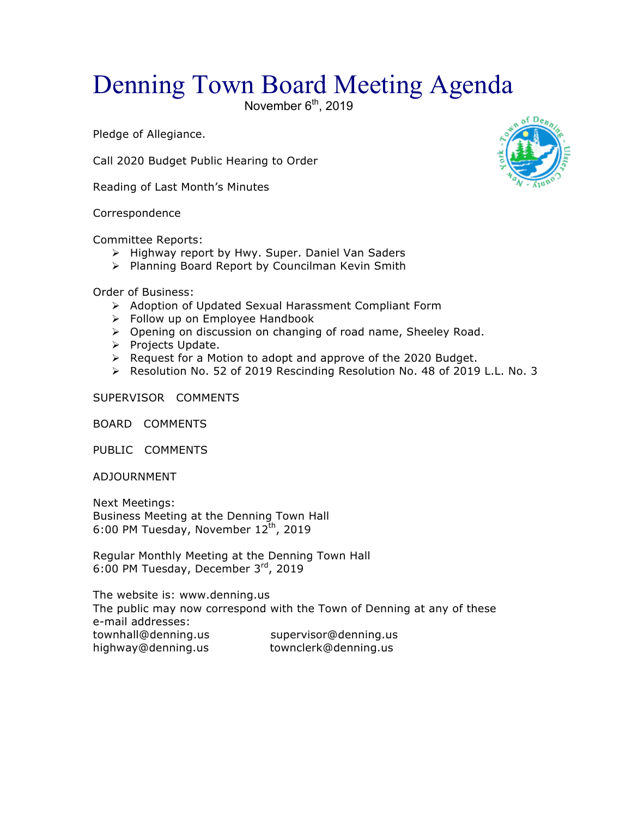## Denning Town Board Meeting Agenda

November  $6<sup>th</sup>$ , 2019

Pledge of Allegiance.

Call 2020 Budget Public Hearing to Order

Reading of Last Month's Minutes

Correspondence

Committee Reports:

- > Highway report by Hwy. Super. Daniel Van Saders
- > Planning Board Report by Councilman Kevin Smith

Order of Business:

- > Adoption of Updated Sexual Harassment Compliant Form
- $\triangleright$  Follow up on Employee Handbook
- > Opening on discussion on changing of road name, Sheeley Road.
- > Projects Update.
- $\triangleright$  Request for a Motion to adopt and approve of the 2020 Budget.
- $\triangleright$  Resolution No. 52 of 2019 Rescinding Resolution No. 48 of 2019 L.L. No. 3

SUPERVISOR COMMENTS

BOARD COMMENTS

PUBLIC COMMENTS

ADJOURNMENT

Next Meetings: Business Meeting at the Denning Town Hall 6:00 PM Tuesday, November  $12^{th}$ , 2019

Regular Monthly Meeting at the Denning Town Hall 6:00 PM Tuesday, December 3rd, 2019

The website is: www.denning.us The public may now correspond with the Town of Denning at any of these e-mail addresses: townhall@denning.us supervisor@denning.us highway@denning.us townclerk@denning.us